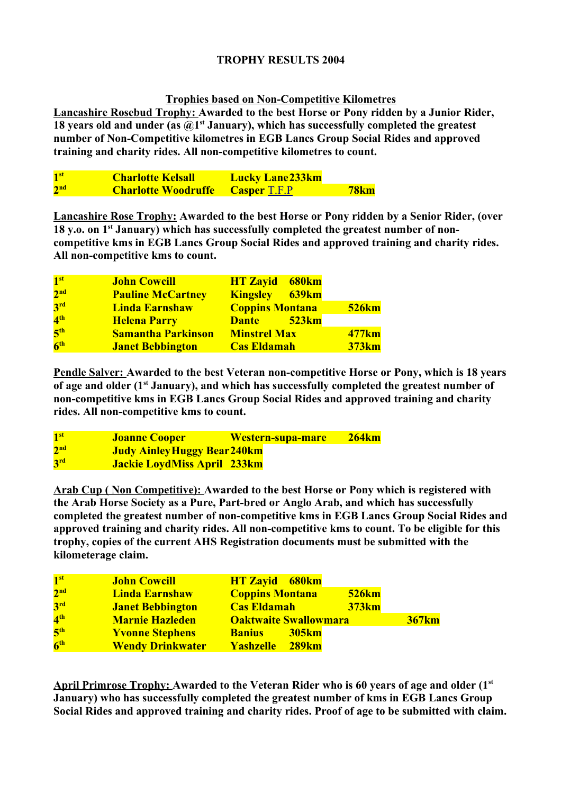# **TROPHY RESULTS 2004**

# **Trophies based on Non-Competitive Kilometres**

**Lancashire Rosebud Trophy: Awarded to the best Horse or Pony ridden by a Junior Rider,**  18 years old and under (as  $\widehat{a}$ <sup>t</sup> January), which has successfully completed the greatest **number of Non-Competitive kilometres in EGB Lancs Group Social Rides and approved training and charity rides. All non-competitive kilometres to count.**

| 1 <sup>st</sup> | <b>Charlotte Kelsall</b>                | <b>Lucky Lane 233km</b> |             |
|-----------------|-----------------------------------------|-------------------------|-------------|
| 2 <sup>nd</sup> | <b>Charlotte Woodruffe</b> Casper T.F.P |                         | <b>78km</b> |

**Lancashire Rose Trophy: Awarded to the best Horse or Pony ridden by a Senior Rider, (over 18 y.o. on 1st January) which has successfully completed the greatest number of noncompetitive kms in EGB Lancs Group Social Rides and approved training and charity rides. All non-competitive kms to count.**

| 1 <sup>st</sup> | <b>John Cowcill</b>       | <b>HT Zayid</b> 680km  |              |
|-----------------|---------------------------|------------------------|--------------|
| 2 <sup>nd</sup> | <b>Pauline McCartney</b>  | <b>Kingsley</b> 639km  |              |
| 3 <sup>rd</sup> | <b>Linda Earnshaw</b>     | <b>Coppins Montana</b> | <b>526km</b> |
| 4 <sup>th</sup> | <b>Helena Parry</b>       | Dante 523km            |              |
| 5 <sup>th</sup> | <b>Samantha Parkinson</b> | <b>Minstrel Max</b>    | <b>477km</b> |
| 6 <sup>th</sup> | <b>Janet Bebbington</b>   | <b>Cas Eldamah</b>     | <b>373km</b> |

**Pendle Salver: Awarded to the best Veteran non-competitive Horse or Pony, which is 18 years of age and older (1st January), and which has successfully completed the greatest number of non-competitive kms in EGB Lancs Group Social Rides and approved training and charity rides. All non-competitive kms to count.**

| 1 <sup>st</sup> | <b>Joanne Cooper</b>               | <b>Western-supa-mare</b> | <b>264km</b> |
|-----------------|------------------------------------|--------------------------|--------------|
| 2 <sup>nd</sup> | Judy Ainley Huggy Bear 240km       |                          |              |
| 3 <sup>rd</sup> | <b>Jackie LoydMiss April 233km</b> |                          |              |

**Arab Cup ( Non Competitive): Awarded to the best Horse or Pony which is registered with the Arab Horse Society as a Pure, Part-bred or Anglo Arab, and which has successfully completed the greatest number of non-competitive kms in EGB Lancs Group Social Rides and approved training and charity rides. All non-competitive kms to count. To be eligible for this trophy, copies of the current AHS Registration documents must be submitted with the kilometerage claim.**

| 1 <sup>st</sup> | <b>John Cowcill</b>     | <b>HT Zayid</b> 680km                  |              |
|-----------------|-------------------------|----------------------------------------|--------------|
| 2 <sup>nd</sup> | <b>Linda Earnshaw</b>   | <b>526km</b><br><b>Coppins Montana</b> |              |
| 3 <sup>rd</sup> | <b>Janet Bebbington</b> | <b>373km</b><br><b>Cas Eldamah</b>     |              |
| 4 <sup>th</sup> | <b>Marnie Hazleden</b>  | <b>Oaktwaite Swallowmara</b>           | <b>367km</b> |
| 5 <sup>th</sup> | <b>Yvonne Stephens</b>  | <b>Banius</b><br><b>305km</b>          |              |
| 6 <sup>th</sup> | <b>Wendy Drinkwater</b> | Yashzelle 289km                        |              |

**April Primrose Trophy: Awarded to the Veteran Rider who is 60 years of age and older (1st January) who has successfully completed the greatest number of kms in EGB Lancs Group Social Rides and approved training and charity rides. Proof of age to be submitted with claim.**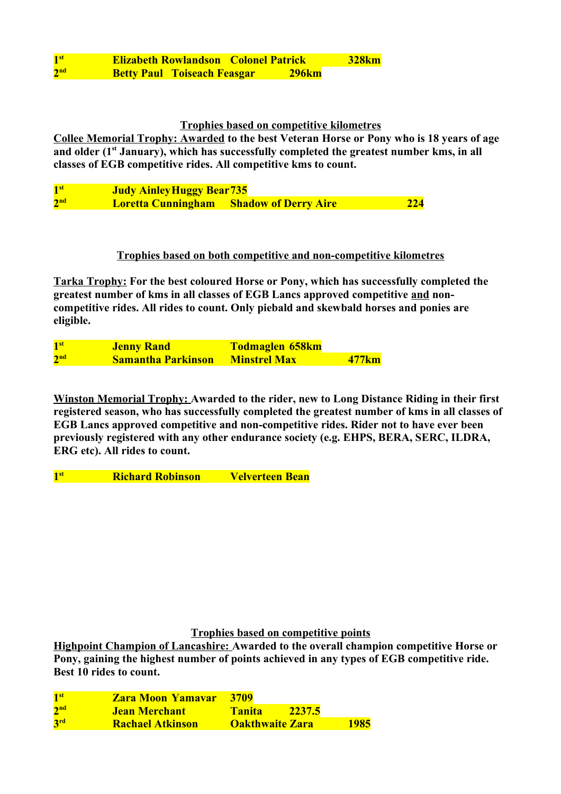| $\mathbf{1}^{\text{st}}$ | <b>Elizabeth Rowlandson Colonel Patrick</b> |              | <b>328km</b> |
|--------------------------|---------------------------------------------|--------------|--------------|
| 2 <sup>nd</sup>          | <b>Betty Paul Toiseach Feasgar</b>          | <b>296km</b> |              |

# **Trophies based on competitive kilometres**

**Collee Memorial Trophy: Awarded to the best Veteran Horse or Pony who is 18 years of age and older (1st January), which has successfully completed the greatest number kms, in all classes of EGB competitive rides. All competitive kms to count.** 

1<sup>st</sup> **st Judy AinleyHuggy Bear735**  $2<sub>nd</sub>$ *Loretta Cunningham* **Shadow of Derry Aire 224** 

### **Trophies based on both competitive and non-competitive kilometres**

**Tarka Trophy: For the best coloured Horse or Pony, which has successfully completed the greatest number of kms in all classes of EGB Lancs approved competitive and noncompetitive rides. All rides to count. Only piebald and skewbald horses and ponies are eligible.**

**1**st **st Jenny Rand Todmaglen 658km**  $2<sub>nd</sub>$ **nd Samantha Parkinson Minstrel Max 477km**

**Winston Memorial Trophy: Awarded to the rider, new to Long Distance Riding in their first registered season, who has successfully completed the greatest number of kms in all classes of EGB Lancs approved competitive and non-competitive rides. Rider not to have ever been previously registered with any other endurance society (e.g. EHPS, BERA, SERC, ILDRA, ERG etc). All rides to count.**

**1 st Richard Robinson Velverteen Bean**

### **Trophies based on competitive points**

**Highpoint Champion of Lancashire: Awarded to the overall champion competitive Horse or Pony, gaining the highest number of points achieved in any types of EGB competitive ride. Best 10 rides to count.**

| 1 <sup>st</sup> | <b>Zara Moon Yamayar</b> | 3709                   |        |      |
|-----------------|--------------------------|------------------------|--------|------|
| 2 <sup>nd</sup> | Jean Merchant            | <b>Tanita</b>          | 2237.5 |      |
| 3 <sup>rd</sup> | <b>Rachael Atkinson</b>  | <b>Oakthwaite Zara</b> |        | 1985 |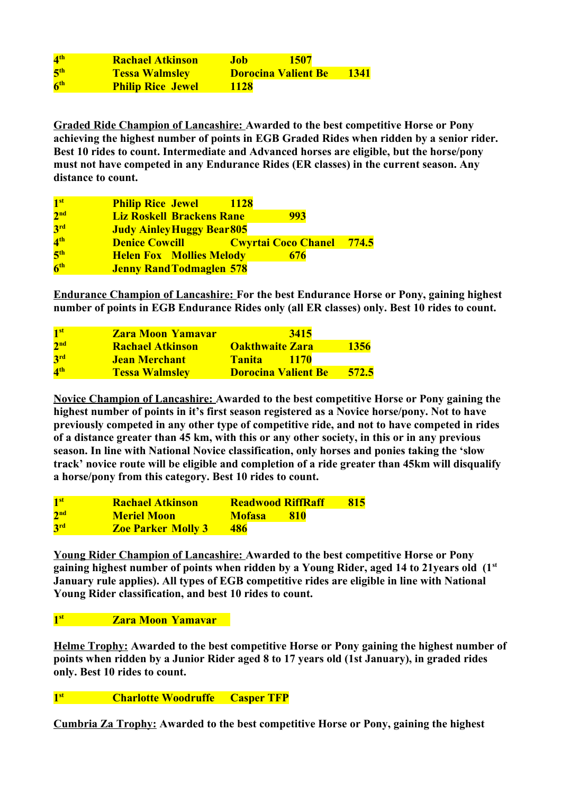| $\mathbf{4}^{\text{th}}$ | <b>Rachael Atkinson</b>  | 1507<br>Job.               |      |
|--------------------------|--------------------------|----------------------------|------|
| 5 <sup>th</sup>          | <b>Tessa Walmsley</b>    | <b>Dorocina Valient Be</b> | 1341 |
| 6 <sup>th</sup>          | <b>Philip Rice Jewel</b> | <b>1128</b>                |      |

**Graded Ride Champion of Lancashire: Awarded to the best competitive Horse or Pony achieving the highest number of points in EGB Graded Rides when ridden by a senior rider. Best 10 rides to count. Intermediate and Advanced horses are eligible, but the horse/pony must not have competed in any Endurance Rides (ER classes) in the current season. Any distance to count.**

| 1 <sup>st</sup> | <b>Philip Rice Jewel</b>                                                                                                                                                                                                             | <u>1128</u> |     |  |
|-----------------|--------------------------------------------------------------------------------------------------------------------------------------------------------------------------------------------------------------------------------------|-------------|-----|--|
| 2 <sup>nd</sup> | <b>Liz Roskell Brackens Rane</b>                                                                                                                                                                                                     |             | 993 |  |
| 3 <sup>rd</sup> | <b>Judy Ainley Huggy Bear 805</b>                                                                                                                                                                                                    |             |     |  |
| 4 <sup>th</sup> | <b>Denice Cowcill Concording Contrary Concording Concording Concording Concording Concording Concording Concording Concording Concording Concording Concording Concording Concording Concording Concording Concording Concording</b> |             |     |  |
| 5 <sup>th</sup> | <b>Helen Fox Mollies Melody</b>                                                                                                                                                                                                      |             | 676 |  |
| 6 <sup>th</sup> | <b>Jenny Rand Todmaglen 578</b>                                                                                                                                                                                                      |             |     |  |

**Endurance Champion of Lancashire: For the best Endurance Horse or Pony, gaining highest number of points in EGB Endurance Rides only (all ER classes) only. Best 10 rides to count.**

| 1 <sup>st</sup> | <b>Zara Moon Yamayar</b> | 3415                         |             |
|-----------------|--------------------------|------------------------------|-------------|
| 2 <sup>nd</sup> | <b>Rachael Atkinson</b>  | <b>Oakthwaite Zara</b>       | <b>1356</b> |
| 3 <sup>rd</sup> | <b>Jean Merchant</b>     | <b>Tanita</b><br><b>1170</b> |             |
| 4 <sup>th</sup> | <b>Tessa Walmsley</b>    | <b>Dorocina Valient Be</b>   | 572.5       |

**Novice Champion of Lancashire: Awarded to the best competitive Horse or Pony gaining the highest number of points in it's first season registered as a Novice horse/pony. Not to have previously competed in any other type of competitive ride, and not to have competed in rides of a distance greater than 45 km, with this or any other society, in this or in any previous season. In line with National Novice classification, only horses and ponies taking the 'slow track' novice route will be eligible and completion of a ride greater than 45km will disqualify a horse/pony from this category. Best 10 rides to count.**

| 1 <sup>st</sup> | <b>Rachael Atkinson</b>   | <b>Readwood RiffRaff</b> | <b>815</b> |
|-----------------|---------------------------|--------------------------|------------|
| 2 <sup>nd</sup> | <b>Meriel Moon</b>        | Mofasa<br><b>810</b>     |            |
| 3 <sup>rd</sup> | <b>Zoe Parker Molly 3</b> | 486                      |            |

**Young Rider Champion of Lancashire: Awarded to the best competitive Horse or Pony gaining highest number of points when ridden by a Young Rider, aged 14 to 21years old (1st January rule applies). All types of EGB competitive rides are eligible in line with National Young Rider classification, and best 10 rides to count.**

#### **1**st **st Zara Moon Yamavar**

**Helme Trophy: Awarded to the best competitive Horse or Pony gaining the highest number of points when ridden by a Junior Rider aged 8 to 17 years old (1st January), in graded rides only. Best 10 rides to count.**

## **1 st Charlotte Woodruffe Casper TFP**

**Cumbria Za Trophy: Awarded to the best competitive Horse or Pony, gaining the highest**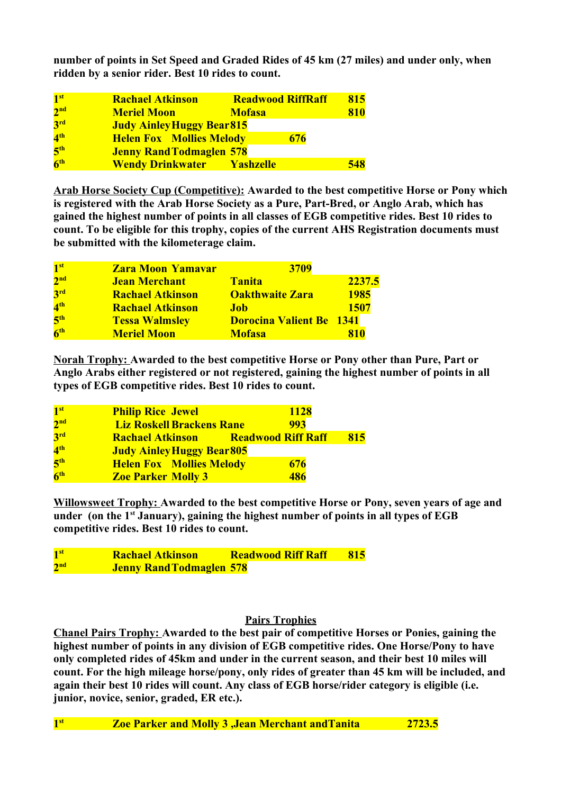**number of points in Set Speed and Graded Rides of 45 km (27 miles) and under only, when ridden by a senior rider. Best 10 rides to count.**

| 1 <sup>st</sup> | <b>Rachael Atkinson</b>           | <b>Readwood RiffRaff</b> | 815 |
|-----------------|-----------------------------------|--------------------------|-----|
| 2 <sup>nd</sup> | <b>Meriel Moon</b>                | <b>Mofasa</b>            | 810 |
| 3 <sup>rd</sup> | <b>Judy Ainley Huggy Bear 815</b> |                          |     |
| 4 <sup>th</sup> | <b>Helen Fox Mollies Melody</b>   | 676                      |     |
| 5 <sup>th</sup> | <b>Jenny Rand Todmaglen 578</b>   |                          |     |
| 6 <sup>th</sup> | <b>Wendy Drinkwater Yashzelle</b> |                          | 548 |

**Arab Horse Society Cup (Competitive): Awarded to the best competitive Horse or Pony which is registered with the Arab Horse Society as a Pure, Part-Bred, or Anglo Arab, which has gained the highest number of points in all classes of EGB competitive rides. Best 10 rides to count. To be eligible for this trophy, copies of the current AHS Registration documents must be submitted with the kilometerage claim.**

| 1 <sup>st</sup> | <b>Zara Moon Yamavar</b> | 3709                            |             |
|-----------------|--------------------------|---------------------------------|-------------|
| 2 <sup>nd</sup> | <b>Jean Merchant</b>     | <b>Tanita</b>                   | 2237.5      |
| 3 <sup>rd</sup> | <b>Rachael Atkinson</b>  | <b>Oakthwaite Zara</b>          | <b>1985</b> |
| 4 <sup>th</sup> | <b>Rachael Atkinson</b>  | <b>Job</b>                      | 1507        |
| 5 <sup>th</sup> | <b>Tessa Walmsley</b>    | <b>Dorocina Valient Be 1341</b> |             |
| 6 <sup>th</sup> | <b>Meriel Moon</b>       | <b>Mofasa</b>                   | 810         |

**Norah Trophy: Awarded to the best competitive Horse or Pony other than Pure, Part or Anglo Arabs either registered or not registered, gaining the highest number of points in all types of EGB competitive rides. Best 10 rides to count.**

| 1 <sup>st</sup> | <b>Philip Rice Jewel</b>          | <b>1128</b>                       |     |
|-----------------|-----------------------------------|-----------------------------------|-----|
| 2 <sup>nd</sup> | <b>Liz Roskell Brackens Rane</b>  | 993                               |     |
| 3 <sup>rd</sup> | <b>Rachael Atkinson</b>           | <b>Exambra Readwood Riff Raff</b> | 815 |
| 4 <sup>th</sup> | <b>Judy Ainley Huggy Bear 805</b> |                                   |     |
| 5 <sup>th</sup> | <b>Helen Fox Mollies Melody</b>   | 676                               |     |
| 6 <sup>th</sup> | <b>Zoe Parker Molly 3</b>         | 486                               |     |

**Willowsweet Trophy: Awarded to the best competitive Horse or Pony, seven years of age and under (on the 1st January), gaining the highest number of points in all types of EGB competitive rides. Best 10 rides to count.**

| 1 <sup>st</sup> | <b>Rachael Atkinson</b>         | <b>Readwood Riff Raff</b> | -815 |
|-----------------|---------------------------------|---------------------------|------|
| 2 <sup>nd</sup> | <b>Jenny Rand Todmaglen 578</b> |                           |      |

### **Pairs Trophies**

**Chanel Pairs Trophy: Awarded to the best pair of competitive Horses or Ponies, gaining the highest number of points in any division of EGB competitive rides. One Horse/Pony to have only completed rides of 45km and under in the current season, and their best 10 miles will count. For the high mileage horse/pony, only rides of greater than 45 km will be included, and again their best 10 rides will count. Any class of EGB horse/rider category is eligible (i.e. junior, novice, senior, graded, ER etc.).**